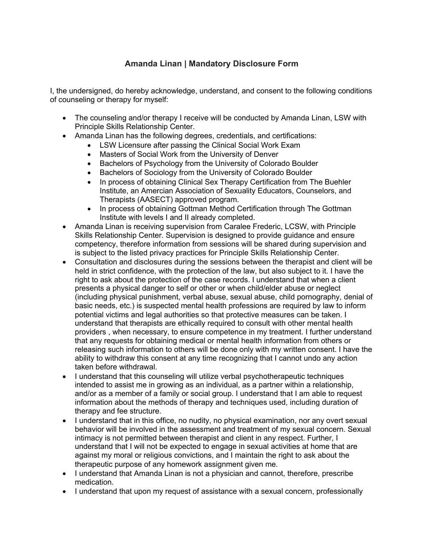## **Amanda Linan | Mandatory Disclosure Form**

I, the undersigned, do hereby acknowledge, understand, and consent to the following conditions of counseling or therapy for myself:

- The counseling and/or therapy I receive will be conducted by Amanda Linan, LSW with Principle Skills Relationship Center.
- Amanda Linan has the following degrees, credentials, and certifications:
	- LSW Licensure after passing the Clinical Social Work Exam
	- Masters of Social Work from the University of Denver
	- Bachelors of Psychology from the University of Colorado Boulder
	- Bachelors of Sociology from the University of Colorado Boulder
	- In process of obtaining Clinical Sex Therapy Certification from The Buehler Institute, an Amercian Association of Sexuality Educators, Counselors, and Therapists (AASECT) approved program.
	- In process of obtaining Gottman Method Certification through The Gottman Institute with levels I and II already completed.
- Amanda Linan is receiving supervision from Caralee Frederic, LCSW, with Principle Skills Relationship Center. Supervision is designed to provide guidance and ensure competency, therefore information from sessions will be shared during supervision and is subject to the listed privacy practices for Principle Skills Relationship Center.
- Consultation and disclosures during the sessions between the therapist and client will be held in strict confidence, with the protection of the law, but also subject to it. I have the right to ask about the protection of the case records. I understand that when a client presents a physical danger to self or other or when child/elder abuse or neglect (including physical punishment, verbal abuse, sexual abuse, child pornography, denial of basic needs, etc.) is suspected mental health professions are required by law to inform potential victims and legal authorities so that protective measures can be taken. I understand that therapists are ethically required to consult with other mental health providers , when necessary, to ensure competence in my treatment. I further understand that any requests for obtaining medical or mental health information from others or releasing such information to others will be done only with my written consent. I have the ability to withdraw this consent at any time recognizing that I cannot undo any action taken before withdrawal.
- I understand that this counseling will utilize verbal psychotherapeutic techniques intended to assist me in growing as an individual, as a partner within a relationship, and/or as a member of a family or social group. I understand that I am able to request information about the methods of therapy and techniques used, including duration of therapy and fee structure.
- I understand that in this office, no nudity, no physical examination, nor any overt sexual behavior will be involved in the assessment and treatment of my sexual concern. Sexual intimacy is not permitted between therapist and client in any respect. Further, I understand that I will not be expected to engage in sexual activities at home that are against my moral or religious convictions, and I maintain the right to ask about the therapeutic purpose of any homework assignment given me.
- I understand that Amanda Linan is not a physician and cannot, therefore, prescribe medication.
- I understand that upon my request of assistance with a sexual concern, professionally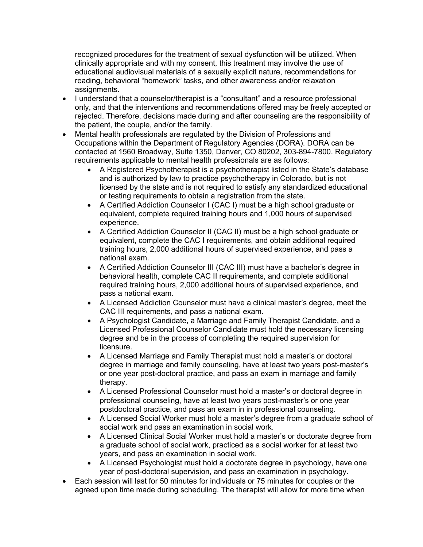recognized procedures for the treatment of sexual dysfunction will be utilized. When clinically appropriate and with my consent, this treatment may involve the use of educational audiovisual materials of a sexually explicit nature, recommendations for reading, behavioral "homework" tasks, and other awareness and/or relaxation assignments.

- I understand that a counselor/therapist is a "consultant" and a resource professional only, and that the interventions and recommendations offered may be freely accepted or rejected. Therefore, decisions made during and after counseling are the responsibility of the patient, the couple, and/or the family.
- Mental health professionals are regulated by the Division of Professions and Occupations within the Department of Regulatory Agencies (DORA). DORA can be contacted at 1560 Broadway, Suite 1350, Denver, CO 80202, 303-894-7800. Regulatory requirements applicable to mental health professionals are as follows:
	- A Registered Psychotherapist is a psychotherapist listed in the State's database and is authorized by law to practice psychotherapy in Colorado, but is not licensed by the state and is not required to satisfy any standardized educational or testing requirements to obtain a registration from the state.
	- A Certified Addiction Counselor I (CAC I) must be a high school graduate or equivalent, complete required training hours and 1,000 hours of supervised experience.
	- A Certified Addiction Counselor II (CAC II) must be a high school graduate or equivalent, complete the CAC I requirements, and obtain additional required training hours, 2,000 additional hours of supervised experience, and pass a national exam.
	- A Certified Addiction Counselor III (CAC III) must have a bachelor's degree in behavioral health, complete CAC II requirements, and complete additional required training hours, 2,000 additional hours of supervised experience, and pass a national exam.
	- A Licensed Addiction Counselor must have a clinical master's degree, meet the CAC III requirements, and pass a national exam.
	- A Psychologist Candidate, a Marriage and Family Therapist Candidate, and a Licensed Professional Counselor Candidate must hold the necessary licensing degree and be in the process of completing the required supervision for licensure.
	- A Licensed Marriage and Family Therapist must hold a master's or doctoral degree in marriage and family counseling, have at least two years post-master's or one year post-doctoral practice, and pass an exam in marriage and family therapy.
	- A Licensed Professional Counselor must hold a master's or doctoral degree in professional counseling, have at least two years post-master's or one year postdoctoral practice, and pass an exam in in professional counseling.
	- A Licensed Social Worker must hold a master's degree from a graduate school of social work and pass an examination in social work.
	- A Licensed Clinical Social Worker must hold a master's or doctorate degree from a graduate school of social work, practiced as a social worker for at least two years, and pass an examination in social work.
	- A Licensed Psychologist must hold a doctorate degree in psychology, have one year of post-doctoral supervision, and pass an examination in psychology.
- Each session will last for 50 minutes for individuals or 75 minutes for couples or the agreed upon time made during scheduling. The therapist will allow for more time when